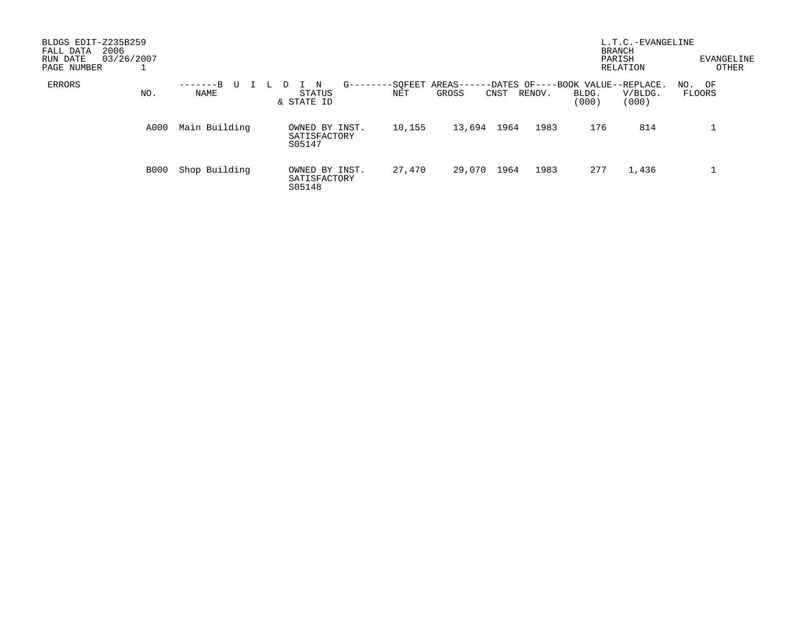| BLDGS EDIT-Z235B259<br>2006<br>FALL DATA<br>03/26/2007<br>RUN DATE<br>PAGE NUMBER |      |                  |                                            |        |                                  |                                             | <b>BRANCH</b><br>PARISH<br>RELATION | L.T.C.-EVANGELINE | EVANGELINE<br>OTHER |
|-----------------------------------------------------------------------------------|------|------------------|--------------------------------------------|--------|----------------------------------|---------------------------------------------|-------------------------------------|-------------------|---------------------|
| <b>ERRORS</b>                                                                     | NO.  | -------B<br>NAME | $G - - - - -$<br>N<br>STATUS<br>& STATE ID | NET    | -SOFEET AREAS--<br>GROSS<br>CNST | -DATES OF----BOOK VALUE--REPLACE.<br>RENOV. | BLDG.<br>(000)                      | V/BLDG.<br>(000)  | NO. OF<br>FLOORS    |
|                                                                                   | A000 | Main Building    | OWNED BY INST.<br>SATISFACTORY<br>S05147   | 10,155 | 13,694<br>1964                   | 1983                                        | 176                                 | 814               |                     |
|                                                                                   | B000 | Shop Building    | OWNED BY INST.<br>SATISFACTORY<br>S05148   | 27,470 | 29,070<br>1964                   | 1983                                        | 277                                 | 1,436             |                     |